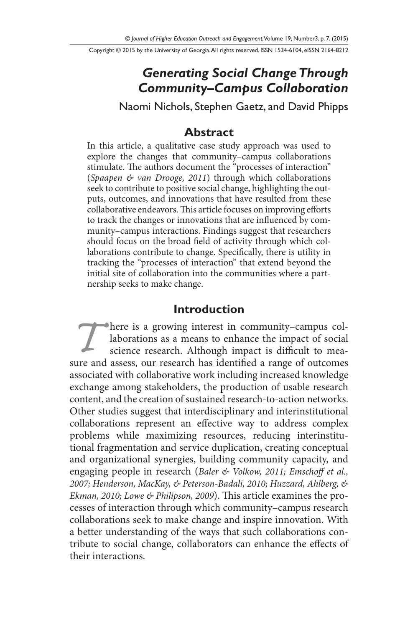Copyright © 2015 by the University of Georgia. All rights reserved. ISSN 1534-6104, eISSN 2164-8212

# *Generating Social Change Through Community–Campus Collaboration*

Naomi Nichols, Stephen Gaetz, and David Phipps

#### **Abstract**

In this article, a qualitative case study approach was used to explore the changes that community–campus collaborations stimulate. The authors document the "processes of interaction" (*Spaapen & van Drooge, 2011*) through which collaborations seek to contribute to positive social change, highlighting the outputs, outcomes, and innovations that have resulted from these collaborative endeavors. This article focuses on improving efforts to track the changes or innovations that are influenced by community–campus interactions. Findings suggest that researchers should focus on the broad field of activity through which collaborations contribute to change. Specifically, there is utility in tracking the "processes of interaction" that extend beyond the initial site of collaboration into the communities where a partnership seeks to make change.

#### **Introduction**

**There is a growing interest in community–campus col**laborations as a means to enhance the impact of social science research. Although impact is difficult to measure and assess, our research has identified a range of outcomes associated with collaborative work including increased knowledge exchange among stakeholders, the production of usable research content, and the creation of sustained research-to-action networks. Other studies suggest that interdisciplinary and interinstitutional collaborations represent an effective way to address complex problems while maximizing resources, reducing interinstitutional fragmentation and service duplication, creating conceptual and organizational synergies, building community capacity, and engaging people in research (*Baler & Volkow, 2011; Emschoff et al., 2007; Henderson, MacKay, & Peterson-Badali, 2010; Huzzard, Ahlberg, & Ekman, 2010; Lowe & Philipson, 2009*). This article examines the processes of interaction through which community–campus research collaborations seek to make change and inspire innovation. With a better understanding of the ways that such collaborations contribute to social change, collaborators can enhance the effects of their interactions.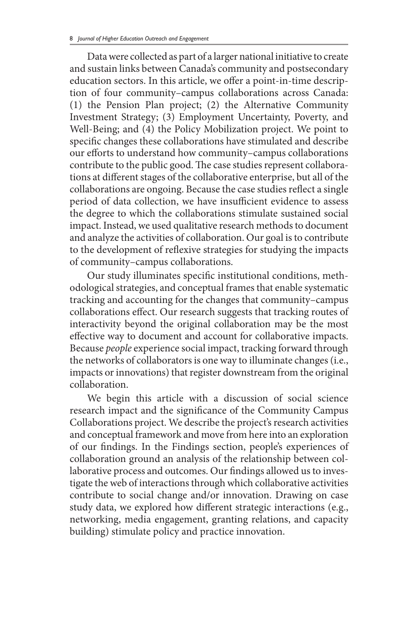Data were collected as part of a larger national initiative to create and sustain links between Canada's community and postsecondary education sectors. In this article, we offer a point-in-time description of four community–campus collaborations across Canada: (1) the Pension Plan project; (2) the Alternative Community Investment Strategy; (3) Employment Uncertainty, Poverty, and Well-Being; and (4) the Policy Mobilization project. We point to specific changes these collaborations have stimulated and describe our efforts to understand how community–campus collaborations contribute to the public good. The case studies represent collaborations at different stages of the collaborative enterprise, but all of the collaborations are ongoing. Because the case studies reflect a single period of data collection, we have insufficient evidence to assess the degree to which the collaborations stimulate sustained social impact. Instead, we used qualitative research methods to document and analyze the activities of collaboration. Our goal is to contribute to the development of reflexive strategies for studying the impacts of community–campus collaborations.

Our study illuminates specific institutional conditions, methodological strategies, and conceptual frames that enable systematic tracking and accounting for the changes that community–campus collaborations effect. Our research suggests that tracking routes of interactivity beyond the original collaboration may be the most effective way to document and account for collaborative impacts. Because *people* experience social impact, tracking forward through the networks of collaborators is one way to illuminate changes (i.e., impacts or innovations) that register downstream from the original collaboration.

We begin this article with a discussion of social science research impact and the significance of the Community Campus Collaborations project. We describe the project's research activities and conceptual framework and move from here into an exploration of our findings. In the Findings section, people's experiences of collaboration ground an analysis of the relationship between collaborative process and outcomes. Our findings allowed us to investigate the web of interactions through which collaborative activities contribute to social change and/or innovation. Drawing on case study data, we explored how different strategic interactions (e.g., networking, media engagement, granting relations, and capacity building) stimulate policy and practice innovation.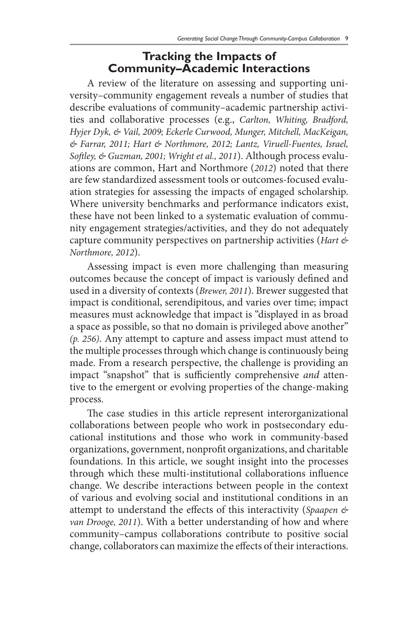### **Tracking the Impacts of Community–Academic Interactions**

A review of the literature on assessing and supporting university–community engagement reveals a number of studies that describe evaluations of community–academic partnership activities and collaborative processes (e.g., *Carlton, Whiting, Bradford, Hyjer Dyk, & Vail, 2009; Eckerle Curwood, Munger, Mitchell, MacKeigan, & Farrar, 2011; Hart & Northmore, 2012; Lantz, Viruell-Fuentes, Israel, Softley, & Guzman, 2001; Wright et al., 2011*). Although process evaluations are common, Hart and Northmore (*2012*) noted that there are few standardized assessment tools or outcomes-focused evaluation strategies for assessing the impacts of engaged scholarship. Where university benchmarks and performance indicators exist, these have not been linked to a systematic evaluation of community engagement strategies/activities, and they do not adequately capture community perspectives on partnership activities (*Hart & Northmore, 2012*).

Assessing impact is even more challenging than measuring outcomes because the concept of impact is variously defined and used in a diversity of contexts (*Brewer, 2011*). Brewer suggested that impact is conditional, serendipitous, and varies over time; impact measures must acknowledge that impact is "displayed in as broad a space as possible, so that no domain is privileged above another" *(p. 256)*. Any attempt to capture and assess impact must attend to the multiple processes through which change is continuously being made. From a research perspective, the challenge is providing an impact "snapshot" that is sufficiently comprehensive *and* attentive to the emergent or evolving properties of the change-making process.

The case studies in this article represent interorganizational collaborations between people who work in postsecondary educational institutions and those who work in community-based organizations, government, nonprofit organizations, and charitable foundations. In this article, we sought insight into the processes through which these multi-institutional collaborations influence change. We describe interactions between people in the context of various and evolving social and institutional conditions in an attempt to understand the effects of this interactivity (*Spaapen & van Drooge, 2011*). With a better understanding of how and where community–campus collaborations contribute to positive social change, collaborators can maximize the effects of their interactions.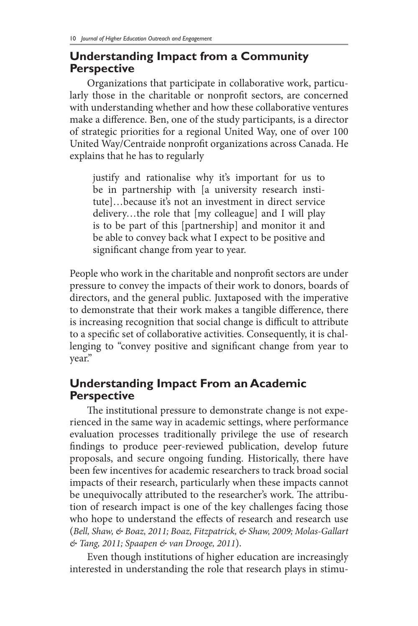### **Understanding Impact from a Community Perspective**

Organizations that participate in collaborative work, particularly those in the charitable or nonprofit sectors, are concerned with understanding whether and how these collaborative ventures make a difference. Ben, one of the study participants, is a director of strategic priorities for a regional United Way, one of over 100 United Way/Centraide nonprofit organizations across Canada. He explains that he has to regularly

justify and rationalise why it's important for us to be in partnership with [a university research institute]…because it's not an investment in direct service delivery…the role that [my colleague] and I will play is to be part of this [partnership] and monitor it and be able to convey back what I expect to be positive and significant change from year to year.

People who work in the charitable and nonprofit sectors are under pressure to convey the impacts of their work to donors, boards of directors, and the general public. Juxtaposed with the imperative to demonstrate that their work makes a tangible difference, there is increasing recognition that social change is difficult to attribute to a specific set of collaborative activities. Consequently, it is challenging to "convey positive and significant change from year to year."

# **Understanding Impact From an Academic Perspective**

The institutional pressure to demonstrate change is not experienced in the same way in academic settings, where performance evaluation processes traditionally privilege the use of research findings to produce peer-reviewed publication, develop future proposals, and secure ongoing funding. Historically, there have been few incentives for academic researchers to track broad social impacts of their research, particularly when these impacts cannot be unequivocally attributed to the researcher's work. The attribution of research impact is one of the key challenges facing those who hope to understand the effects of research and research use (*Bell, Shaw, & Boaz, 2011; Boaz, Fitzpatrick, & Shaw, 2009; Molas-Gallart & Tang, 2011; Spaapen & van Drooge, 2011*).

Even though institutions of higher education are increasingly interested in understanding the role that research plays in stimu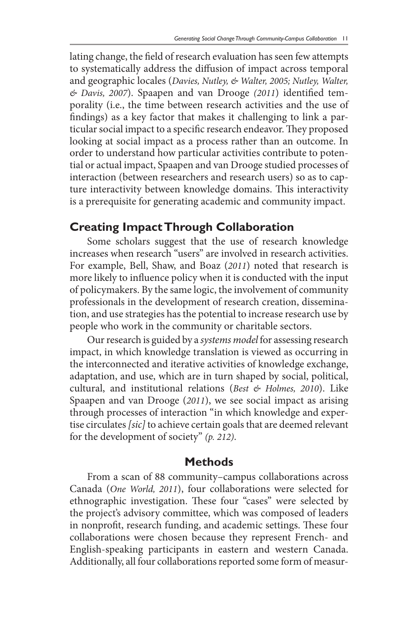lating change, the field of research evaluation has seen few attempts to systematically address the diffusion of impact across temporal and geographic locales (*Davies, Nutley, & Walter, 2005; Nutley, Walter, & Davis, 2007*). Spaapen and van Drooge *(2011*) identified temporality (i.e., the time between research activities and the use of findings) as a key factor that makes it challenging to link a particular social impact to a specific research endeavor. They proposed looking at social impact as a process rather than an outcome. In order to understand how particular activities contribute to potential or actual impact, Spaapen and van Drooge studied processes of interaction (between researchers and research users) so as to capture interactivity between knowledge domains. This interactivity is a prerequisite for generating academic and community impact.

## **Creating Impact Through Collaboration**

Some scholars suggest that the use of research knowledge increases when research "users" are involved in research activities. For example, Bell, Shaw, and Boaz (*2011*) noted that research is more likely to influence policy when it is conducted with the input of policymakers. By the same logic, the involvement of community professionals in the development of research creation, dissemination, and use strategies has the potential to increase research use by people who work in the community or charitable sectors.

Our research is guided by a *systems model* for assessing research impact, in which knowledge translation is viewed as occurring in the interconnected and iterative activities of knowledge exchange, adaptation, and use, which are in turn shaped by social, political, cultural, and institutional relations (*Best & Holmes, 2010*). Like Spaapen and van Drooge (*2011*), we see social impact as arising through processes of interaction "in which knowledge and expertise circulates *[sic]* to achieve certain goals that are deemed relevant for the development of society" *(p. 212)*.

#### **Methods**

From a scan of 88 community–campus collaborations across Canada (*One World, 2011*), four collaborations were selected for ethnographic investigation. These four "cases" were selected by the project's advisory committee, which was composed of leaders in nonprofit, research funding, and academic settings. These four collaborations were chosen because they represent French- and English-speaking participants in eastern and western Canada. Additionally, all four collaborations reported some form of measur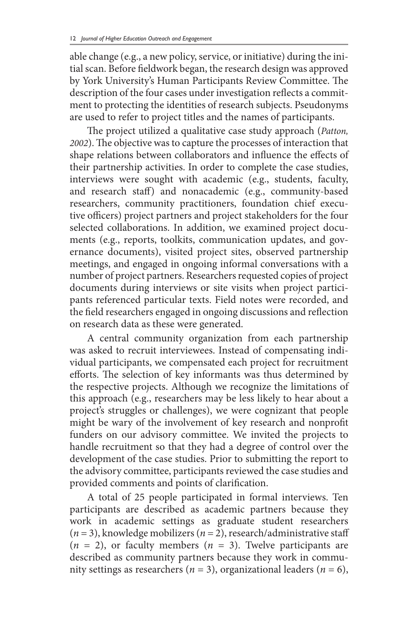able change (e.g., a new policy, service, or initiative) during the initial scan. Before fieldwork began, the research design was approved by York University's Human Participants Review Committee. The description of the four cases under investigation reflects a commitment to protecting the identities of research subjects. Pseudonyms are used to refer to project titles and the names of participants.

The project utilized a qualitative case study approach (*Patton, 2002*). The objective was to capture the processes of interaction that shape relations between collaborators and influence the effects of their partnership activities. In order to complete the case studies, interviews were sought with academic (e.g., students, faculty, and research staff) and nonacademic (e.g., community-based researchers, community practitioners, foundation chief executive officers) project partners and project stakeholders for the four selected collaborations. In addition, we examined project documents (e.g., reports, toolkits, communication updates, and governance documents), visited project sites, observed partnership meetings, and engaged in ongoing informal conversations with a number of project partners. Researchers requested copies of project documents during interviews or site visits when project participants referenced particular texts. Field notes were recorded, and the field researchers engaged in ongoing discussions and reflection on research data as these were generated.

A central community organization from each partnership was asked to recruit interviewees. Instead of compensating individual participants, we compensated each project for recruitment efforts. The selection of key informants was thus determined by the respective projects. Although we recognize the limitations of this approach (e.g., researchers may be less likely to hear about a project's struggles or challenges), we were cognizant that people might be wary of the involvement of key research and nonprofit funders on our advisory committee. We invited the projects to handle recruitment so that they had a degree of control over the development of the case studies. Prior to submitting the report to the advisory committee, participants reviewed the case studies and provided comments and points of clarification.

A total of 25 people participated in formal interviews. Ten participants are described as academic partners because they work in academic settings as graduate student researchers (*n* = 3), knowledge mobilizers (*n* = 2), research/administrative staff  $(n = 2)$ , or faculty members  $(n = 3)$ . Twelve participants are described as community partners because they work in community settings as researchers ( $n = 3$ ), organizational leaders ( $n = 6$ ),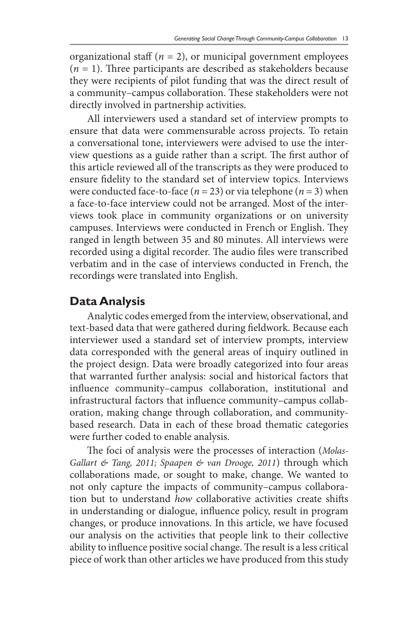organizational staff  $(n = 2)$ , or municipal government employees  $(n = 1)$ . Three participants are described as stakeholders because they were recipients of pilot funding that was the direct result of a community–campus collaboration. These stakeholders were not directly involved in partnership activities.

All interviewers used a standard set of interview prompts to ensure that data were commensurable across projects. To retain a conversational tone, interviewers were advised to use the interview questions as a guide rather than a script. The first author of this article reviewed all of the transcripts as they were produced to ensure fidelity to the standard set of interview topics. Interviews were conducted face-to-face ( $n = 23$ ) or via telephone ( $n = 3$ ) when a face-to-face interview could not be arranged. Most of the interviews took place in community organizations or on university campuses. Interviews were conducted in French or English. They ranged in length between 35 and 80 minutes. All interviews were recorded using a digital recorder. The audio files were transcribed verbatim and in the case of interviews conducted in French, the recordings were translated into English.

#### **Data Analysis**

Analytic codes emerged from the interview, observational, and text-based data that were gathered during fieldwork. Because each interviewer used a standard set of interview prompts, interview data corresponded with the general areas of inquiry outlined in the project design. Data were broadly categorized into four areas that warranted further analysis: social and historical factors that influence community–campus collaboration, institutional and infrastructural factors that influence community–campus collaboration, making change through collaboration, and communitybased research. Data in each of these broad thematic categories were further coded to enable analysis.

The foci of analysis were the processes of interaction (*Molas-Gallart & Tang, 2011; Spaapen & van Drooge, 2011*) through which collaborations made, or sought to make, change. We wanted to not only capture the impacts of community–campus collaboration but to understand *how* collaborative activities create shifts in understanding or dialogue, influence policy, result in program changes, or produce innovations. In this article, we have focused our analysis on the activities that people link to their collective ability to influence positive social change. The result is a less critical piece of work than other articles we have produced from this study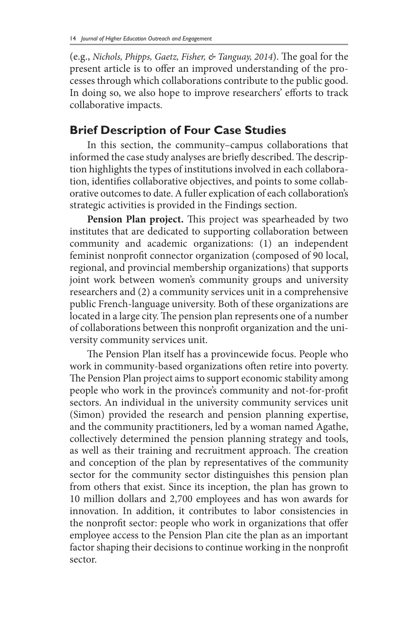(e.g., *Nichols, Phipps, Gaetz, Fisher, & Tanguay, 2014*). The goal for the present article is to offer an improved understanding of the processes through which collaborations contribute to the public good. In doing so, we also hope to improve researchers' efforts to track collaborative impacts.

# **Brief Description of Four Case Studies**

In this section, the community–campus collaborations that informed the case study analyses are briefly described. The description highlights the types of institutions involved in each collaboration, identifies collaborative objectives, and points to some collaborative outcomes to date. A fuller explication of each collaboration's strategic activities is provided in the Findings section.

**Pension Plan project.** This project was spearheaded by two institutes that are dedicated to supporting collaboration between community and academic organizations: (1) an independent feminist nonprofit connector organization (composed of 90 local, regional, and provincial membership organizations) that supports joint work between women's community groups and university researchers and (2) a community services unit in a comprehensive public French-language university. Both of these organizations are located in a large city. The pension plan represents one of a number of collaborations between this nonprofit organization and the university community services unit.

The Pension Plan itself has a provincewide focus. People who work in community-based organizations often retire into poverty. The Pension Plan project aims to support economic stability among people who work in the province's community and not-for-profit sectors. An individual in the university community services unit (Simon) provided the research and pension planning expertise, and the community practitioners, led by a woman named Agathe, collectively determined the pension planning strategy and tools, as well as their training and recruitment approach. The creation and conception of the plan by representatives of the community sector for the community sector distinguishes this pension plan from others that exist. Since its inception, the plan has grown to 10 million dollars and 2,700 employees and has won awards for innovation. In addition, it contributes to labor consistencies in the nonprofit sector: people who work in organizations that offer employee access to the Pension Plan cite the plan as an important factor shaping their decisions to continue working in the nonprofit sector.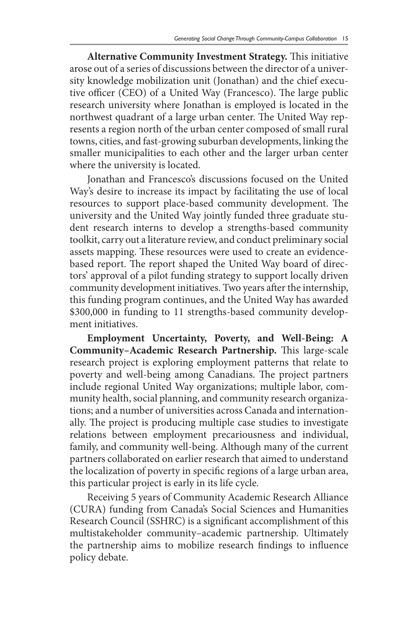**Alternative Community Investment Strategy.** This initiative arose out of a series of discussions between the director of a university knowledge mobilization unit (Jonathan) and the chief executive officer (CEO) of a United Way (Francesco). The large public research university where Jonathan is employed is located in the northwest quadrant of a large urban center. The United Way represents a region north of the urban center composed of small rural towns, cities, and fast-growing suburban developments, linking the smaller municipalities to each other and the larger urban center where the university is located.

Jonathan and Francesco's discussions focused on the United Way's desire to increase its impact by facilitating the use of local resources to support place-based community development. The university and the United Way jointly funded three graduate student research interns to develop a strengths-based community toolkit, carry out a literature review, and conduct preliminary social assets mapping. These resources were used to create an evidencebased report. The report shaped the United Way board of directors' approval of a pilot funding strategy to support locally driven community development initiatives. Two years after the internship, this funding program continues, and the United Way has awarded \$300,000 in funding to 11 strengths-based community development initiatives.

**Employment Uncertainty, Poverty, and Well-Being: A Community–Academic Research Partnership.** This large-scale research project is exploring employment patterns that relate to poverty and well-being among Canadians. The project partners include regional United Way organizations; multiple labor, community health, social planning, and community research organizations; and a number of universities across Canada and internationally. The project is producing multiple case studies to investigate relations between employment precariousness and individual, family, and community well-being. Although many of the current partners collaborated on earlier research that aimed to understand the localization of poverty in specific regions of a large urban area, this particular project is early in its life cycle.

Receiving 5 years of Community Academic Research Alliance (CURA) funding from Canada's Social Sciences and Humanities Research Council (SSHRC) is a significant accomplishment of this multistakeholder community–academic partnership. Ultimately the partnership aims to mobilize research findings to influence policy debate.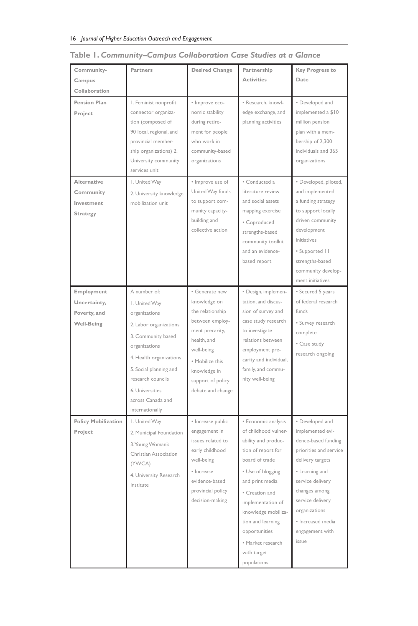| Community-<br>Campus                                            | Partners                                                                                                                                                                                                                                             | <b>Desired Change</b>                                                                                                                                                                              | Partnership<br>Activities                                                                                                                                                                                                                                                                                 | <b>Key Progress to</b><br>Date                                                                                                                                                                                                                        |
|-----------------------------------------------------------------|------------------------------------------------------------------------------------------------------------------------------------------------------------------------------------------------------------------------------------------------------|----------------------------------------------------------------------------------------------------------------------------------------------------------------------------------------------------|-----------------------------------------------------------------------------------------------------------------------------------------------------------------------------------------------------------------------------------------------------------------------------------------------------------|-------------------------------------------------------------------------------------------------------------------------------------------------------------------------------------------------------------------------------------------------------|
| Collaboration                                                   |                                                                                                                                                                                                                                                      |                                                                                                                                                                                                    |                                                                                                                                                                                                                                                                                                           |                                                                                                                                                                                                                                                       |
| <b>Pension Plan</b><br>Project                                  | I. Feminist nonprofit<br>connector organiza-<br>tion (composed of<br>90 local, regional, and<br>provincial member-<br>ship organizations) 2.<br>University community<br>services unit                                                                | · Improve eco-<br>nomic stability<br>during retire-<br>ment for people<br>who work in<br>community-based<br>organizations                                                                          | · Research, knowl-<br>edge exchange, and<br>planning activities                                                                                                                                                                                                                                           | · Developed and<br>implemented a \$10<br>million pension<br>plan with a mem-<br>bership of 2,300<br>individuals and 365<br>organizations                                                                                                              |
| Alternative<br>Community<br>Investment<br><b>Strategy</b>       | I. United Way<br>2. University knowledge<br>mobilization unit                                                                                                                                                                                        | · Improve use of<br>United Way funds<br>to support com-<br>munity capacity-<br>building and<br>collective action                                                                                   | · Conducted a<br>literature review<br>and social assets<br>mapping exercise<br>· Coproduced<br>strengths-based<br>community toolkit<br>and an evidence-<br>based report                                                                                                                                   | · Developed, piloted,<br>and implemented<br>a funding strategy<br>to support locally<br>driven community<br>development<br>initiatives<br>· Supported    <br>strengths-based<br>community develop-<br>ment initiatives                                |
| Employment<br>Uncertainty,<br>Poverty, and<br><b>Well-Being</b> | A number of:<br>I. United Way<br>organizations<br>2. Labor organizations<br>3. Community based<br>organizations<br>4. Health organizations<br>5. Social planning and<br>research councils<br>6. Universities<br>across Canada and<br>internationally | · Generate new<br>knowledge on<br>the relationship<br>between employ-<br>ment precarity,<br>health, and<br>well-being<br>· Mobilize this<br>knowledge in<br>support of policy<br>debate and change | · Design, implemen-<br>tation, and discus-<br>sion of survey and<br>case study research<br>to investigate<br>relations between<br>employment pre-<br>carity and individual,<br>family, and commu-<br>nity well-being                                                                                      | · Secured 5 years<br>of federal research<br>funds<br>· Survey research<br>complete<br>· Case study<br>research ongoing                                                                                                                                |
| <b>Policy Mobilization</b><br>Project                           | I. United Way<br>2. Municipal Foundation<br>3. Young Woman's<br>Christian Association<br>(YWCA)<br>4. University Research<br>Institute                                                                                                               | · Increase public<br>engagement in<br>issues related to<br>early childhood<br>well-being<br>· Increase<br>evidence-based<br>provincial policy<br>decision-making                                   | · Economic analysis<br>of childhood vulner-<br>ability and produc-<br>tion of report for<br>board of trade<br>· Use of blogging<br>and print media<br>· Creation and<br>implementation of<br>knowledge mobiliza-<br>tion and learning<br>opportunities<br>· Market research<br>with target<br>populations | · Developed and<br>implemented evi-<br>dence-based funding<br>priorities and service<br>delivery targets<br>• Learning and<br>service delivery<br>changes among<br>service delivery<br>organizations<br>· Increased media<br>engagement with<br>issue |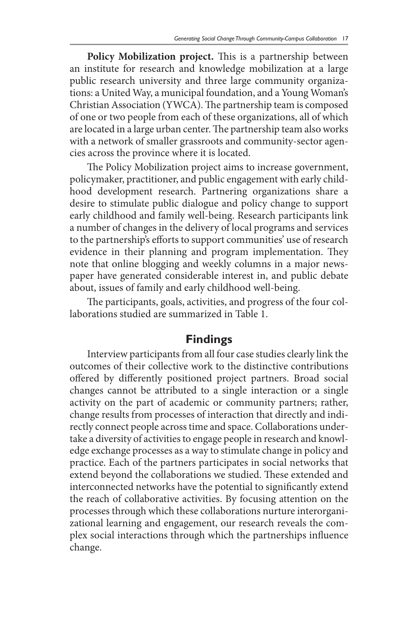**Policy Mobilization project.** This is a partnership between an institute for research and knowledge mobilization at a large public research university and three large community organizations: a United Way, a municipal foundation, and a Young Woman's Christian Association (YWCA). The partnership team is composed of one or two people from each of these organizations, all of which are located in a large urban center. The partnership team also works with a network of smaller grassroots and community-sector agencies across the province where it is located.

The Policy Mobilization project aims to increase government, policymaker, practitioner, and public engagement with early childhood development research. Partnering organizations share a desire to stimulate public dialogue and policy change to support early childhood and family well-being. Research participants link a number of changes in the delivery of local programs and services to the partnership's efforts to support communities' use of research evidence in their planning and program implementation. They note that online blogging and weekly columns in a major newspaper have generated considerable interest in, and public debate about, issues of family and early childhood well-being.

The participants, goals, activities, and progress of the four collaborations studied are summarized in Table 1.

## **Findings**

Interview participants from all four case studies clearly link the outcomes of their collective work to the distinctive contributions offered by differently positioned project partners. Broad social changes cannot be attributed to a single interaction or a single activity on the part of academic or community partners; rather, change results from processes of interaction that directly and indirectly connect people across time and space. Collaborations undertake a diversity of activities to engage people in research and knowledge exchange processes as a way to stimulate change in policy and practice. Each of the partners participates in social networks that extend beyond the collaborations we studied. These extended and interconnected networks have the potential to significantly extend the reach of collaborative activities. By focusing attention on the processes through which these collaborations nurture interorganizational learning and engagement, our research reveals the complex social interactions through which the partnerships influence change.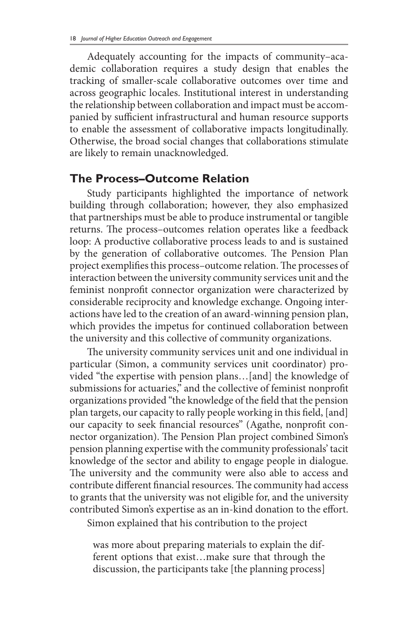Adequately accounting for the impacts of community–academic collaboration requires a study design that enables the tracking of smaller-scale collaborative outcomes over time and across geographic locales. Institutional interest in understanding the relationship between collaboration and impact must be accompanied by sufficient infrastructural and human resource supports to enable the assessment of collaborative impacts longitudinally. Otherwise, the broad social changes that collaborations stimulate are likely to remain unacknowledged.

#### **The Process–Outcome Relation**

Study participants highlighted the importance of network building through collaboration; however, they also emphasized that partnerships must be able to produce instrumental or tangible returns. The process–outcomes relation operates like a feedback loop: A productive collaborative process leads to and is sustained by the generation of collaborative outcomes. The Pension Plan project exemplifies this process–outcome relation. The processes of interaction between the university community services unit and the feminist nonprofit connector organization were characterized by considerable reciprocity and knowledge exchange. Ongoing interactions have led to the creation of an award-winning pension plan, which provides the impetus for continued collaboration between the university and this collective of community organizations.

The university community services unit and one individual in particular (Simon, a community services unit coordinator) provided "the expertise with pension plans…[and] the knowledge of submissions for actuaries," and the collective of feminist nonprofit organizations provided "the knowledge of the field that the pension plan targets, our capacity to rally people working in this field, [and] our capacity to seek financial resources" (Agathe, nonprofit connector organization). The Pension Plan project combined Simon's pension planning expertise with the community professionals' tacit knowledge of the sector and ability to engage people in dialogue. The university and the community were also able to access and contribute different financial resources. The community had access to grants that the university was not eligible for, and the university contributed Simon's expertise as an in-kind donation to the effort.

Simon explained that his contribution to the project

was more about preparing materials to explain the different options that exist…make sure that through the discussion, the participants take [the planning process]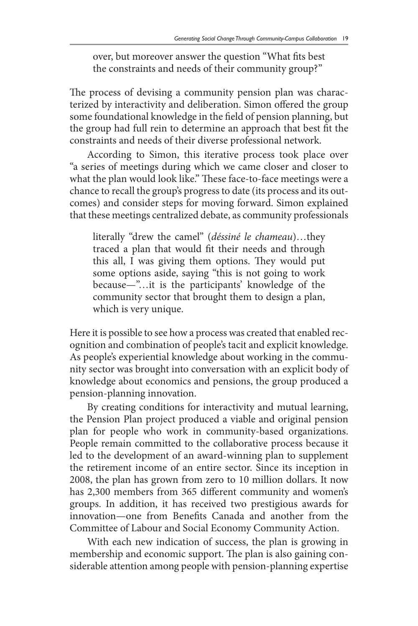over, but moreover answer the question "What fits best the constraints and needs of their community group?"

The process of devising a community pension plan was characterized by interactivity and deliberation. Simon offered the group some foundational knowledge in the field of pension planning, but the group had full rein to determine an approach that best fit the constraints and needs of their diverse professional network.

According to Simon, this iterative process took place over "a series of meetings during which we came closer and closer to what the plan would look like." These face-to-face meetings were a chance to recall the group's progress to date (its process and its outcomes) and consider steps for moving forward. Simon explained that these meetings centralized debate, as community professionals

literally "drew the camel" (*déssiné le chameau*)…they traced a plan that would fit their needs and through this all, I was giving them options. They would put some options aside, saying "this is not going to work because—"…it is the participants' knowledge of the community sector that brought them to design a plan, which is very unique.

Here it is possible to see how a process was created that enabled recognition and combination of people's tacit and explicit knowledge. As people's experiential knowledge about working in the community sector was brought into conversation with an explicit body of knowledge about economics and pensions, the group produced a pension-planning innovation.

By creating conditions for interactivity and mutual learning, the Pension Plan project produced a viable and original pension plan for people who work in community-based organizations. People remain committed to the collaborative process because it led to the development of an award-winning plan to supplement the retirement income of an entire sector. Since its inception in 2008, the plan has grown from zero to 10 million dollars. It now has 2,300 members from 365 different community and women's groups. In addition, it has received two prestigious awards for innovation—one from Benefits Canada and another from the Committee of Labour and Social Economy Community Action.

With each new indication of success, the plan is growing in membership and economic support. The plan is also gaining considerable attention among people with pension-planning expertise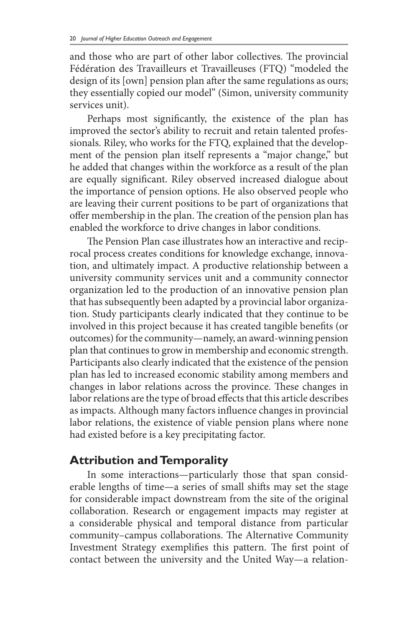and those who are part of other labor collectives. The provincial Fédération des Travailleurs et Travailleuses (FTQ) "modeled the design of its [own] pension plan after the same regulations as ours; they essentially copied our model" (Simon, university community services unit).

Perhaps most significantly, the existence of the plan has improved the sector's ability to recruit and retain talented professionals. Riley, who works for the FTQ, explained that the development of the pension plan itself represents a "major change," but he added that changes within the workforce as a result of the plan are equally significant. Riley observed increased dialogue about the importance of pension options. He also observed people who are leaving their current positions to be part of organizations that offer membership in the plan. The creation of the pension plan has enabled the workforce to drive changes in labor conditions.

The Pension Plan case illustrates how an interactive and reciprocal process creates conditions for knowledge exchange, innovation, and ultimately impact. A productive relationship between a university community services unit and a community connector organization led to the production of an innovative pension plan that has subsequently been adapted by a provincial labor organization. Study participants clearly indicated that they continue to be involved in this project because it has created tangible benefits (or outcomes) for the community—namely, an award-winning pension plan that continues to grow in membership and economic strength. Participants also clearly indicated that the existence of the pension plan has led to increased economic stability among members and changes in labor relations across the province. These changes in labor relations are the type of broad effects that this article describes as impacts. Although many factors influence changes in provincial labor relations, the existence of viable pension plans where none had existed before is a key precipitating factor.

# **Attribution and Temporality**

In some interactions—particularly those that span considerable lengths of time—a series of small shifts may set the stage for considerable impact downstream from the site of the original collaboration. Research or engagement impacts may register at a considerable physical and temporal distance from particular community–campus collaborations. The Alternative Community Investment Strategy exemplifies this pattern. The first point of contact between the university and the United Way—a relation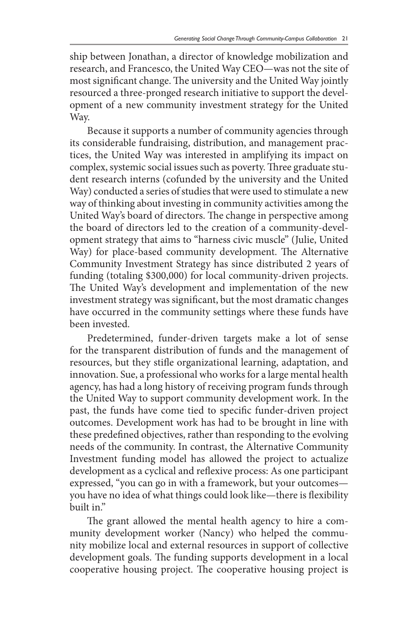ship between Jonathan, a director of knowledge mobilization and research, and Francesco, the United Way CEO—was not the site of most significant change. The university and the United Way jointly resourced a three-pronged research initiative to support the development of a new community investment strategy for the United Way.

Because it supports a number of community agencies through its considerable fundraising, distribution, and management practices, the United Way was interested in amplifying its impact on complex, systemic social issues such as poverty. Three graduate student research interns (cofunded by the university and the United Way) conducted a series of studies that were used to stimulate a new way of thinking about investing in community activities among the United Way's board of directors. The change in perspective among the board of directors led to the creation of a community-development strategy that aims to "harness civic muscle" (Julie, United Way) for place-based community development. The Alternative Community Investment Strategy has since distributed 2 years of funding (totaling \$300,000) for local community-driven projects. The United Way's development and implementation of the new investment strategy was significant, but the most dramatic changes have occurred in the community settings where these funds have been invested.

Predetermined, funder-driven targets make a lot of sense for the transparent distribution of funds and the management of resources, but they stifle organizational learning, adaptation, and innovation. Sue, a professional who works for a large mental health agency, has had a long history of receiving program funds through the United Way to support community development work. In the past, the funds have come tied to specific funder-driven project outcomes. Development work has had to be brought in line with these predefined objectives, rather than responding to the evolving needs of the community. In contrast, the Alternative Community Investment funding model has allowed the project to actualize development as a cyclical and reflexive process: As one participant expressed, "you can go in with a framework, but your outcomes you have no idea of what things could look like—there is flexibility built in."

The grant allowed the mental health agency to hire a community development worker (Nancy) who helped the community mobilize local and external resources in support of collective development goals. The funding supports development in a local cooperative housing project. The cooperative housing project is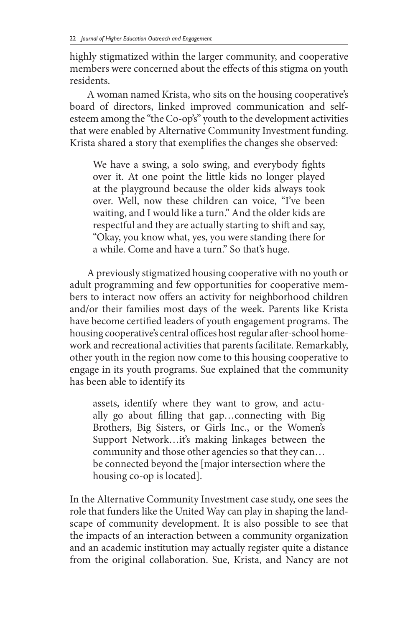highly stigmatized within the larger community, and cooperative members were concerned about the effects of this stigma on youth residents.

A woman named Krista, who sits on the housing cooperative's board of directors, linked improved communication and selfesteem among the "the Co-op's" youth to the development activities that were enabled by Alternative Community Investment funding. Krista shared a story that exemplifies the changes she observed:

We have a swing, a solo swing, and everybody fights over it. At one point the little kids no longer played at the playground because the older kids always took over. Well, now these children can voice, "I've been waiting, and I would like a turn." And the older kids are respectful and they are actually starting to shift and say, "Okay, you know what, yes, you were standing there for a while. Come and have a turn." So that's huge.

A previously stigmatized housing cooperative with no youth or adult programming and few opportunities for cooperative members to interact now offers an activity for neighborhood children and/or their families most days of the week. Parents like Krista have become certified leaders of youth engagement programs. The housing cooperative's central offices host regular after-school homework and recreational activities that parents facilitate. Remarkably, other youth in the region now come to this housing cooperative to engage in its youth programs. Sue explained that the community has been able to identify its

assets, identify where they want to grow, and actually go about filling that gap…connecting with Big Brothers, Big Sisters, or Girls Inc., or the Women's Support Network…it's making linkages between the community and those other agencies so that they can… be connected beyond the [major intersection where the housing co-op is located].

In the Alternative Community Investment case study, one sees the role that funders like the United Way can play in shaping the landscape of community development. It is also possible to see that the impacts of an interaction between a community organization and an academic institution may actually register quite a distance from the original collaboration. Sue, Krista, and Nancy are not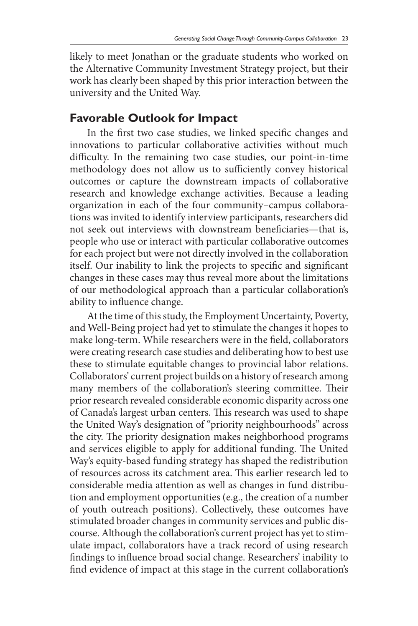likely to meet Jonathan or the graduate students who worked on the Alternative Community Investment Strategy project, but their work has clearly been shaped by this prior interaction between the university and the United Way.

# **Favorable Outlook for Impact**

In the first two case studies, we linked specific changes and innovations to particular collaborative activities without much difficulty. In the remaining two case studies, our point-in-time methodology does not allow us to sufficiently convey historical outcomes or capture the downstream impacts of collaborative research and knowledge exchange activities. Because a leading organization in each of the four community–campus collaborations was invited to identify interview participants, researchers did not seek out interviews with downstream beneficiaries—that is, people who use or interact with particular collaborative outcomes for each project but were not directly involved in the collaboration itself. Our inability to link the projects to specific and significant changes in these cases may thus reveal more about the limitations of our methodological approach than a particular collaboration's ability to influence change.

At the time of this study, the Employment Uncertainty, Poverty, and Well-Being project had yet to stimulate the changes it hopes to make long-term. While researchers were in the field, collaborators were creating research case studies and deliberating how to best use these to stimulate equitable changes to provincial labor relations. Collaborators' current project builds on a history of research among many members of the collaboration's steering committee. Their prior research revealed considerable economic disparity across one of Canada's largest urban centers. This research was used to shape the United Way's designation of "priority neighbourhoods" across the city. The priority designation makes neighborhood programs and services eligible to apply for additional funding. The United Way's equity-based funding strategy has shaped the redistribution of resources across its catchment area. This earlier research led to considerable media attention as well as changes in fund distribution and employment opportunities (e.g., the creation of a number of youth outreach positions). Collectively, these outcomes have stimulated broader changes in community services and public discourse. Although the collaboration's current project has yet to stimulate impact, collaborators have a track record of using research findings to influence broad social change. Researchers' inability to find evidence of impact at this stage in the current collaboration's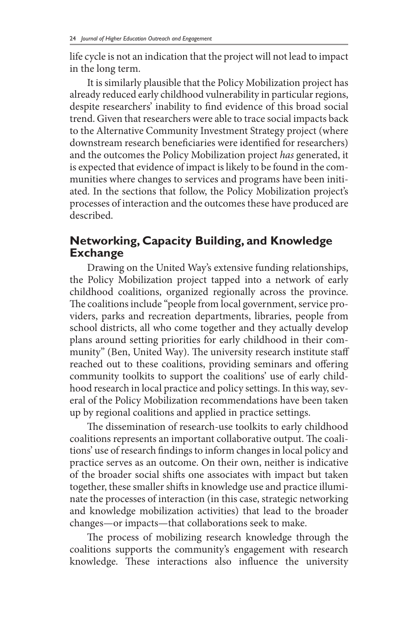life cycle is not an indication that the project will not lead to impact in the long term.

It is similarly plausible that the Policy Mobilization project has already reduced early childhood vulnerability in particular regions, despite researchers' inability to find evidence of this broad social trend. Given that researchers were able to trace social impacts back to the Alternative Community Investment Strategy project (where downstream research beneficiaries were identified for researchers) and the outcomes the Policy Mobilization project *has* generated, it is expected that evidence of impact is likely to be found in the communities where changes to services and programs have been initiated. In the sections that follow, the Policy Mobilization project's processes of interaction and the outcomes these have produced are described.

# **Networking, Capacity Building, and Knowledge Exchange**

Drawing on the United Way's extensive funding relationships, the Policy Mobilization project tapped into a network of early childhood coalitions, organized regionally across the province. The coalitions include "people from local government, service providers, parks and recreation departments, libraries, people from school districts, all who come together and they actually develop plans around setting priorities for early childhood in their community" (Ben, United Way). The university research institute staff reached out to these coalitions, providing seminars and offering community toolkits to support the coalitions' use of early childhood research in local practice and policy settings. In this way, several of the Policy Mobilization recommendations have been taken up by regional coalitions and applied in practice settings.

The dissemination of research-use toolkits to early childhood coalitions represents an important collaborative output. The coalitions' use of research findings to inform changes in local policy and practice serves as an outcome. On their own, neither is indicative of the broader social shifts one associates with impact but taken together, these smaller shifts in knowledge use and practice illuminate the processes of interaction (in this case, strategic networking and knowledge mobilization activities) that lead to the broader changes—or impacts—that collaborations seek to make.

The process of mobilizing research knowledge through the coalitions supports the community's engagement with research knowledge. These interactions also influence the university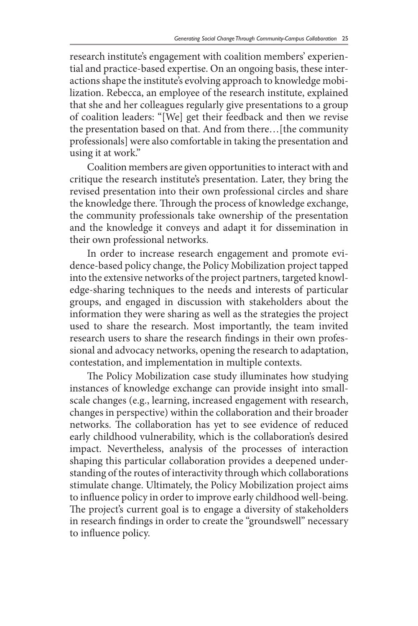research institute's engagement with coalition members' experiential and practice-based expertise. On an ongoing basis, these interactions shape the institute's evolving approach to knowledge mobilization. Rebecca, an employee of the research institute, explained that she and her colleagues regularly give presentations to a group of coalition leaders: "[We] get their feedback and then we revise the presentation based on that. And from there…[the community professionals] were also comfortable in taking the presentation and using it at work."

Coalition members are given opportunities to interact with and critique the research institute's presentation. Later, they bring the revised presentation into their own professional circles and share the knowledge there. Through the process of knowledge exchange, the community professionals take ownership of the presentation and the knowledge it conveys and adapt it for dissemination in their own professional networks.

In order to increase research engagement and promote evidence-based policy change, the Policy Mobilization project tapped into the extensive networks of the project partners, targeted knowledge-sharing techniques to the needs and interests of particular groups, and engaged in discussion with stakeholders about the information they were sharing as well as the strategies the project used to share the research. Most importantly, the team invited research users to share the research findings in their own professional and advocacy networks, opening the research to adaptation, contestation, and implementation in multiple contexts.

The Policy Mobilization case study illuminates how studying instances of knowledge exchange can provide insight into smallscale changes (e.g., learning, increased engagement with research, changes in perspective) within the collaboration and their broader networks. The collaboration has yet to see evidence of reduced early childhood vulnerability, which is the collaboration's desired impact. Nevertheless, analysis of the processes of interaction shaping this particular collaboration provides a deepened understanding of the routes of interactivity through which collaborations stimulate change. Ultimately, the Policy Mobilization project aims to influence policy in order to improve early childhood well-being. The project's current goal is to engage a diversity of stakeholders in research findings in order to create the "groundswell" necessary to influence policy.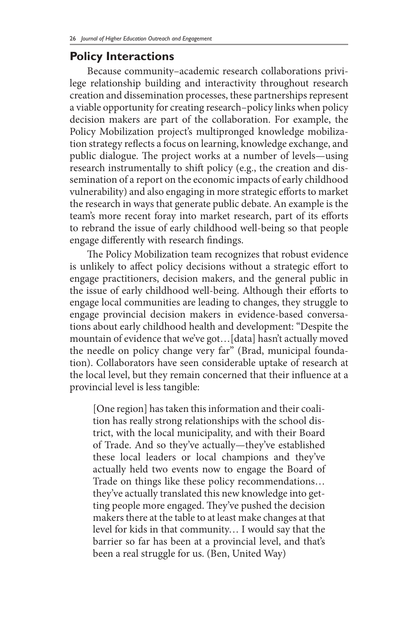#### **Policy Interactions**

Because community–academic research collaborations privilege relationship building and interactivity throughout research creation and dissemination processes, these partnerships represent a viable opportunity for creating research–policy links when policy decision makers are part of the collaboration. For example, the Policy Mobilization project's multipronged knowledge mobilization strategy reflects a focus on learning, knowledge exchange, and public dialogue. The project works at a number of levels—using research instrumentally to shift policy (e.g., the creation and dissemination of a report on the economic impacts of early childhood vulnerability) and also engaging in more strategic efforts to market the research in ways that generate public debate. An example is the team's more recent foray into market research, part of its efforts to rebrand the issue of early childhood well-being so that people engage differently with research findings.

The Policy Mobilization team recognizes that robust evidence is unlikely to affect policy decisions without a strategic effort to engage practitioners, decision makers, and the general public in the issue of early childhood well-being. Although their efforts to engage local communities are leading to changes, they struggle to engage provincial decision makers in evidence-based conversations about early childhood health and development: "Despite the mountain of evidence that we've got…[data] hasn't actually moved the needle on policy change very far" (Brad, municipal foundation). Collaborators have seen considerable uptake of research at the local level, but they remain concerned that their influence at a provincial level is less tangible:

[One region] has taken this information and their coalition has really strong relationships with the school district, with the local municipality, and with their Board of Trade. And so they've actually—they've established these local leaders or local champions and they've actually held two events now to engage the Board of Trade on things like these policy recommendations… they've actually translated this new knowledge into getting people more engaged. They've pushed the decision makers there at the table to at least make changes at that level for kids in that community… I would say that the barrier so far has been at a provincial level, and that's been a real struggle for us. (Ben, United Way)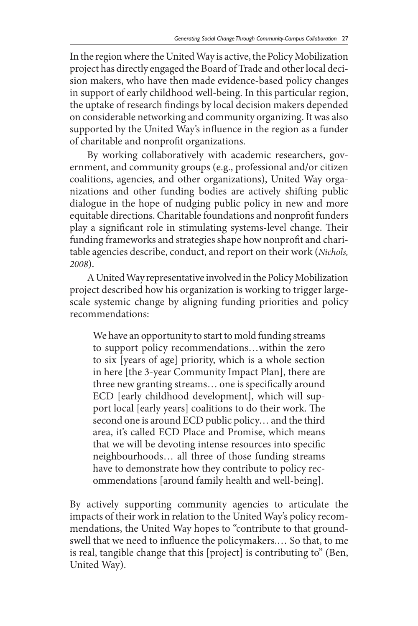In the region where the United Way is active, the Policy Mobilization project has directly engaged the Board of Trade and other local decision makers, who have then made evidence-based policy changes in support of early childhood well-being. In this particular region, the uptake of research findings by local decision makers depended on considerable networking and community organizing. It was also supported by the United Way's influence in the region as a funder of charitable and nonprofit organizations.

By working collaboratively with academic researchers, government, and community groups (e.g., professional and/or citizen coalitions, agencies, and other organizations), United Way organizations and other funding bodies are actively shifting public dialogue in the hope of nudging public policy in new and more equitable directions. Charitable foundations and nonprofit funders play a significant role in stimulating systems-level change. Their funding frameworks and strategies shape how nonprofit and charitable agencies describe, conduct, and report on their work (*Nichols, 2008*).

A United Way representative involved in the Policy Mobilization project described how his organization is working to trigger largescale systemic change by aligning funding priorities and policy recommendations:

We have an opportunity to start to mold funding streams to support policy recommendations…within the zero to six [years of age] priority, which is a whole section in here [the 3-year Community Impact Plan], there are three new granting streams… one is specifically around ECD [early childhood development], which will support local [early years] coalitions to do their work. The second one is around ECD public policy… and the third area, it's called ECD Place and Promise, which means that we will be devoting intense resources into specific neighbourhoods… all three of those funding streams have to demonstrate how they contribute to policy recommendations [around family health and well-being].

By actively supporting community agencies to articulate the impacts of their work in relation to the United Way's policy recommendations, the United Way hopes to "contribute to that groundswell that we need to influence the policymakers.… So that, to me is real, tangible change that this [project] is contributing to" (Ben, United Way).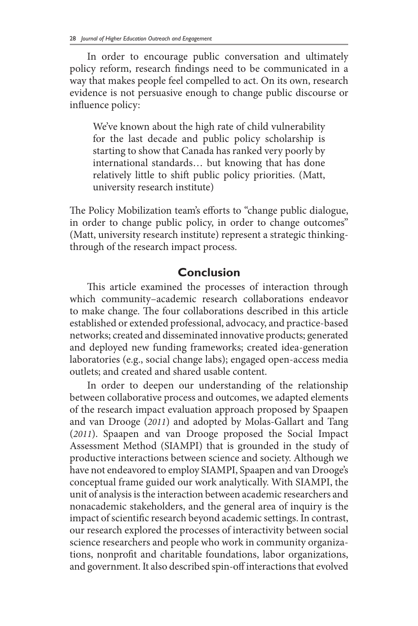In order to encourage public conversation and ultimately policy reform, research findings need to be communicated in a way that makes people feel compelled to act. On its own, research evidence is not persuasive enough to change public discourse or influence policy:

We've known about the high rate of child vulnerability for the last decade and public policy scholarship is starting to show that Canada has ranked very poorly by international standards… but knowing that has done relatively little to shift public policy priorities. (Matt, university research institute)

The Policy Mobilization team's efforts to "change public dialogue, in order to change public policy, in order to change outcomes" (Matt, university research institute) represent a strategic thinkingthrough of the research impact process.

## **Conclusion**

This article examined the processes of interaction through which community–academic research collaborations endeavor to make change. The four collaborations described in this article established or extended professional, advocacy, and practice-based networks; created and disseminated innovative products; generated and deployed new funding frameworks; created idea-generation laboratories (e.g., social change labs); engaged open-access media outlets; and created and shared usable content.

In order to deepen our understanding of the relationship between collaborative process and outcomes, we adapted elements of the research impact evaluation approach proposed by Spaapen and van Drooge (*2011*) and adopted by Molas-Gallart and Tang (*2011*). Spaapen and van Drooge proposed the Social Impact Assessment Method (SIAMPI) that is grounded in the study of productive interactions between science and society. Although we have not endeavored to employ SIAMPI, Spaapen and van Drooge's conceptual frame guided our work analytically. With SIAMPI, the unit of analysis is the interaction between academic researchers and nonacademic stakeholders, and the general area of inquiry is the impact of scientific research beyond academic settings. In contrast, our research explored the processes of interactivity between social science researchers and people who work in community organizations, nonprofit and charitable foundations, labor organizations, and government. It also described spin-off interactions that evolved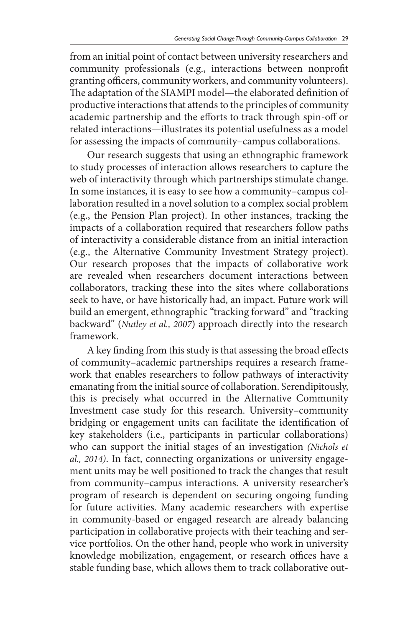from an initial point of contact between university researchers and community professionals (e.g., interactions between nonprofit granting officers, community workers, and community volunteers). The adaptation of the SIAMPI model—the elaborated definition of productive interactions that attends to the principles of community academic partnership and the efforts to track through spin-off or related interactions—illustrates its potential usefulness as a model for assessing the impacts of community–campus collaborations.

Our research suggests that using an ethnographic framework to study processes of interaction allows researchers to capture the web of interactivity through which partnerships stimulate change. In some instances, it is easy to see how a community–campus collaboration resulted in a novel solution to a complex social problem (e.g., the Pension Plan project). In other instances, tracking the impacts of a collaboration required that researchers follow paths of interactivity a considerable distance from an initial interaction (e.g., the Alternative Community Investment Strategy project). Our research proposes that the impacts of collaborative work are revealed when researchers document interactions between collaborators, tracking these into the sites where collaborations seek to have, or have historically had, an impact. Future work will build an emergent, ethnographic "tracking forward" and "tracking backward" (*Nutley et al., 2007*) approach directly into the research framework.

A key finding from this study is that assessing the broad effects of community–academic partnerships requires a research framework that enables researchers to follow pathways of interactivity emanating from the initial source of collaboration. Serendipitously, this is precisely what occurred in the Alternative Community Investment case study for this research. University–community bridging or engagement units can facilitate the identification of key stakeholders (i.e., participants in particular collaborations) who can support the initial stages of an investigation *(Nichols et al., 2014)*. In fact, connecting organizations or university engagement units may be well positioned to track the changes that result from community–campus interactions. A university researcher's program of research is dependent on securing ongoing funding for future activities. Many academic researchers with expertise in community-based or engaged research are already balancing participation in collaborative projects with their teaching and service portfolios. On the other hand, people who work in university knowledge mobilization, engagement, or research offices have a stable funding base, which allows them to track collaborative out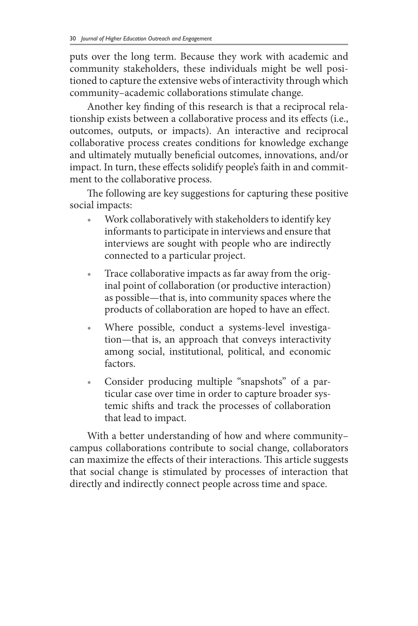puts over the long term. Because they work with academic and community stakeholders, these individuals might be well positioned to capture the extensive webs of interactivity through which community–academic collaborations stimulate change.

Another key finding of this research is that a reciprocal relationship exists between a collaborative process and its effects (i.e., outcomes, outputs, or impacts). An interactive and reciprocal collaborative process creates conditions for knowledge exchange and ultimately mutually beneficial outcomes, innovations, and/or impact. In turn, these effects solidify people's faith in and commitment to the collaborative process.

The following are key suggestions for capturing these positive social impacts:

- Work collaboratively with stakeholders to identify key informants to participate in interviews and ensure that interviews are sought with people who are indirectly connected to a particular project.
- Trace collaborative impacts as far away from the original point of collaboration (or productive interaction) as possible—that is, into community spaces where the products of collaboration are hoped to have an effect.
- Where possible, conduct a systems-level investigation—that is, an approach that conveys interactivity among social, institutional, political, and economic factors.
- Consider producing multiple "snapshots" of a particular case over time in order to capture broader systemic shifts and track the processes of collaboration that lead to impact.

With a better understanding of how and where community– campus collaborations contribute to social change, collaborators can maximize the effects of their interactions. This article suggests that social change is stimulated by processes of interaction that directly and indirectly connect people across time and space.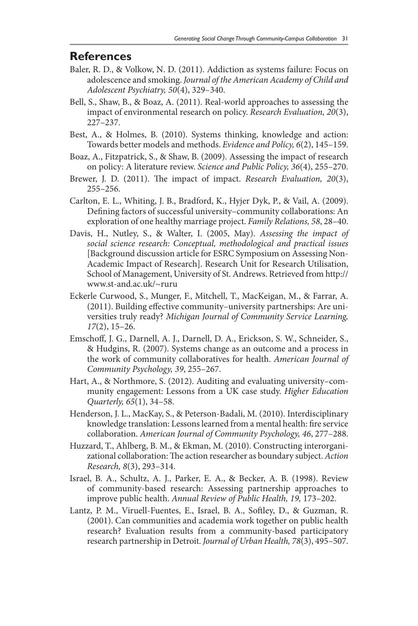#### **References**

- Baler, R. D., & Volkow, N. D. (2011). Addiction as systems failure: Focus on adolescence and smoking. *Journal of the American Academy of Child and Adolescent Psychiatry, 50*(4), 329–340.
- Bell, S., Shaw, B., & Boaz, A. (2011). Real-world approaches to assessing the impact of environmental research on policy. *Research Evaluation, 20*(3), 227–237.
- Best, A., & Holmes, B. (2010). Systems thinking, knowledge and action: Towards better models and methods. *Evidence and Policy, 6*(2), 145–159.
- Boaz, A., Fitzpatrick, S., & Shaw, B. (2009). Assessing the impact of research on policy: A literature review. *Science and Public Policy, 36*(4), 255–270.
- Brewer, J. D. (2011). The impact of impact. *Research Evaluation, 20*(3), 255–256.
- Carlton, E. L., Whiting, J. B., Bradford, K., Hyjer Dyk, P., & Vail, A. (2009). Defining factors of successful university–community collaborations: An exploration of one healthy marriage project. *Family Relations, 58*, 28–40.
- Davis, H., Nutley, S., & Walter, I. (2005, May). *Assessing the impact of social science research: Conceptual, methodological and practical issues* [Background discussion article for ESRC Symposium on Assessing Non-Academic Impact of Research]. Research Unit for Research Utilisation, School of Management, University of St. Andrews. Retrieved from http:// www.st-and.ac.uk/~ruru
- Eckerle Curwood, S., Munger, F., Mitchell, T., MacKeigan, M., & Farrar, A. (2011). Building effective community–university partnerships: Are universities truly ready? *Michigan Journal of Community Service Learning, 17*(2), 15–26.
- Emschoff, J. G., Darnell, A. J., Darnell, D. A., Erickson, S. W., Schneider, S., & Hudgins, R. (2007). Systems change as an outcome and a process in the work of community collaboratives for health. *American Journal of Community Psychology, 39*, 255–267.
- Hart, A., & Northmore, S. (2012). Auditing and evaluating university–community engagement: Lessons from a UK case study. *Higher Education Quarterly, 65*(1), 34–58.
- Henderson, J. L., MacKay, S., & Peterson-Badali, M. (2010). Interdisciplinary knowledge translation: Lessons learned from a mental health: fire service collaboration. *American Journal of Community Psychology, 46*, 277–288.
- Huzzard, T., Ahlberg, B. M., & Ekman, M. (2010). Constructing interorganizational collaboration: The action researcher as boundary subject. *Action Research, 8*(3), 293–314.
- Israel, B. A., Schultz, A. J., Parker, E. A., & Becker, A. B. (1998). Review of community-based research: Assessing partnership approaches to improve public health. *Annual Review of Public Health, 19,* 173–202.
- Lantz, P. M., Viruell-Fuentes, E., Israel, B. A., Softley, D., & Guzman, R. (2001). Can communities and academia work together on public health research? Evaluation results from a community-based participatory research partnership in Detroit. *Journal of Urban Health, 78*(3), 495–507.